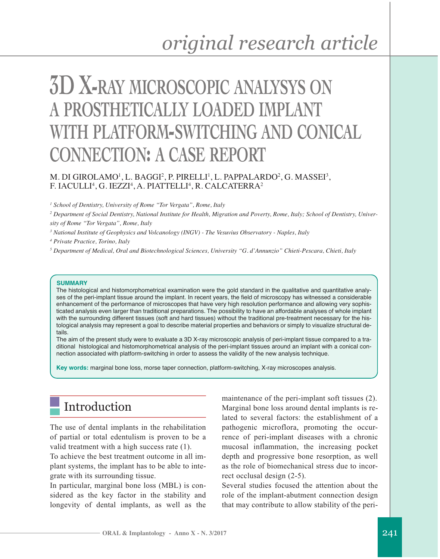# **3D X-RAY MICROSCOPIC ANALYSYS ON A PROSTHETICALLY LOADED IMPLANT WITH PLATFORM-SWITCHING AND CONICAL CONNECTION: A CASE REPORT**

#### M. DI GIROLAMO<sup>1</sup>, L. BAGGI<sup>2</sup>, P. PIRELLI<sup>1</sup>, L. PAPPALARDO<sup>2</sup>, G. MASSEI<sup>3</sup>, F. IACULLI<sup>4</sup>, G. IEZZI<sup>4</sup>, A. PIATTELLI<sup>4</sup>, R. CALCATERRA<sup>2</sup>

*<sup>1</sup> School of Dentistry, University of Rome "Tor Vergata", Rome, Italy*

<sup>2</sup> Department of Social Dentistry, National Institute for Health, Migration and Poverty, Rome, Italy; School of Dentistry, Univer*sity of Rome "Tor Vergata", Rome, Italy*

*<sup>3</sup> National Institute of Geophysics and Volcanology (INGV) - The Vesuvius Observatory - Naples, Italy*

*<sup>4</sup> Private Practice, Torino, Italy*

*<sup>5</sup> Department of Medical, Oral and Biotechnological Sciences, University "G. d'Annunzio" Chieti-Pescara, Chieti, Italy*

#### **SUMMARY**

The histological and histomorphometrical examination were the gold standard in the qualitative and quantitative analyses of the peri-implant tissue around the implant. In recent years, the field of microscopy has witnessed a considerable enhancement of the performance of microscopes that have very high resolution performance and allowing very sophisticated analysis even larger than traditional preparations. The possibility to have an affordable analyses of whole implant with the surrounding different tissues (soft and hard tissues) without the traditional pre-treatment necessary for the histological analysis may represent a goal to describe material properties and behaviors or simply to visualize structural details.

The aim of the present study were to evaluate a 3D X-ray microscopic analysis of peri-implant tissue compared to a traditional histological and histomorphometrical analysis of the peri-implant tissues around an implant with a conical connection associated with platform-switching in order to assess the validity of the new analysis technique.

**Key words:** marginal bone loss, morse taper connection, platform-switching, X-ray microscopes analysis.

## Introduction

The use of dental implants in the rehabilitation of partial or total edentulism is proven to be a valid treatment with a high success rate (1).

To achieve the best treatment outcome in all implant systems, the implant has to be able to integrate with its surrounding tissue.

In particular, marginal bone loss (MBL) is considered as the key factor in the stability and longevity of dental implants, as well as the

maintenance of the peri-implant soft tissues (2). Marginal bone loss around dental implants is related to several factors: the establishment of a pathogenic microflora, promoting the occurrence of peri-implant diseases with a chronic mucosal inflammation, the increasing pocket depth and progressive bone resorption, as well as the role of biomechanical stress due to incorrect occlusal design (2-5).

Several studies focused the attention about the role of the implant-abutment connection design that may contribute to allow stability of the peri-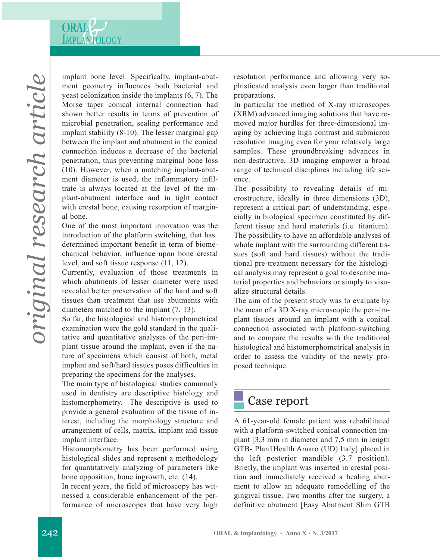

implant bone level. Specifically, implant-abutment geometry influences both bacterial and yeast colonization inside the implants (6, 7). The Morse taper conical internal connection had shown better results in terms of prevention of microbial penetration, sealing performance and implant stability (8-10). The lesser marginal gap between the implant and abutment in the conical connection induces a decrease of the bacterial penetration, thus preventing marginal bone loss (10). However, when a matching implant-abutment diameter is used, the inflammatory infiltrate is always located at the level of the implant-abutment interface and in tight contact with crestal bone, causing resorption of marginal bone.

One of the most important innovation was the introduction of the platform switching, that has determined important benefit in term of biomechanical behavior, influence upon bone crestal level, and soft tissue response (11, 12).

Currently, evaluation of those treatments in which abutments of lesser diameter were used revealed better preservation of the hard and soft tissues than treatment that use abutments with diameters matched to the implant (7, 13).

So far, the histological and histomorphometrical examination were the gold standard in the qualitative and quantitative analyses of the peri-implant tissue around the implant, even if the nature of specimens which consist of both, metal implant and soft/hard tissues poses difficulties in preparing the specimens for the analyses.

The main type of histological studies commonly used in dentistry are descriptive histology and histomorphometry. The descriptive is used to provide a general evaluation of the tissue of interest, including the morphology structure and arrangement of cells, matrix, implant and tissue implant interface.

Histomorphometry has been performed using histological slides and represent a methodology for quantitatively analyzing of parameters like bone apposition, bone ingrowth, etc. (14).

In recent years, the field of microscopy has witnessed a considerable enhancement of the performance of microscopes that have very high resolution performance and allowing very sophisticated analysis even larger than traditional preparations.

In particular the method of X-ray microscopes (XRM) advanced imaging solutions that have removed major hurdles for three-dimensional imaging by achieving high contrast and submicron resolution imaging even for your relatively large samples. These groundbreaking advances in non-destructive, 3D imaging empower a broad range of technical disciplines including life science.

The possibility to revealing details of microstructure, ideally in three dimensions (3D), represent a critical part of understanding, especially in biological specimen constituted by different tissue and hard materials (i.e. titanium). The possibility to have an affordable analyses of whole implant with the surrounding different tissues (soft and hard tissues) without the traditional pre-treatment necessary for the histological analysis may represent a goal to describe material properties and behaviors or simply to visualize structural details.

The aim of the present study was to evaluate by the mean of a 3D X-ray microscopic the peri-implant tissues around an implant with a conical connection associated with platform-switching and to compare the results with the traditional histological and histomorphometrical analysis in order to assess the validity of the newly proposed technique.

### Case report

A 61-year-old female patient was rehabilitated with a platform-switched conical connection implant [3,3 mm in diameter and 7,5 mm in length GTB- Plan1Health Amaro (UD) Italy] placed in the left posterior mandible (3.7 position). Briefly, the implant was inserted in crestal position and immediately received a healing abutment to allow an adequate remodelling of the gingival tissue. Two months after the surgery, a definitive abutment [Easy Abutment Slim GTB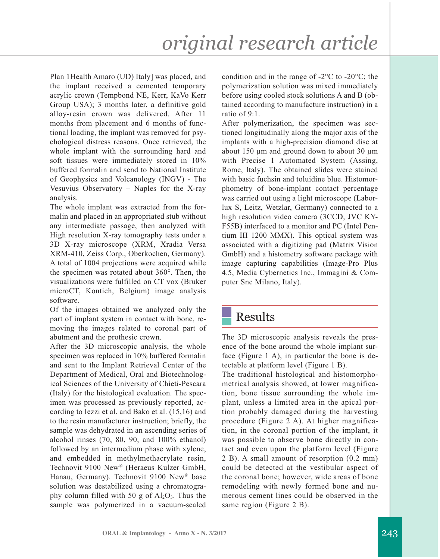# *original research article*

Plan 1Health Amaro (UD) Italy] was placed, and the implant received a cemented temporary acrylic crown (Tempbond NE, Kerr, KaVo Kerr Group USA); 3 months later, a definitive gold alloy-resin crown was delivered. After 11 months from placement and 6 months of functional loading, the implant was removed for psychological distress reasons. Once retrieved, the whole implant with the surrounding hard and soft tissues were immediately stored in 10% buffered formalin and send to National Institute of Geophysics and Volcanology (INGV) - The Vesuvius Observatory – Naples for the X-ray analysis.

The whole implant was extracted from the formalin and placed in an appropriated stub without any intermediate passage, then analyzed with High resolution X-ray tomography tests under a 3D X-ray microscope (XRM, Xradia Versa XRM-410, Zeiss Corp., Oberkochen, Germany). A total of 1004 projections were acquired while the specimen was rotated about 360°. Then, the visualizations were fulfilled on CT vox (Bruker microCT, Kontich, Belgium) image analysis software.

Of the images obtained we analyzed only the part of implant system in contact with bone, removing the images related to coronal part of abutment and the prothesic crown.

After the 3D microscopic analysis, the whole specimen was replaced in 10% buffered formalin and sent to the Implant Retrieval Center of the Department of Medical, Oral and Biotechnological Sciences of the University of Chieti-Pescara (Italy) for the histological evaluation. The specimen was processed as previously reported, according to Iezzi et al. and Bako et al. (15,16) and to the resin manufacturer instruction; briefly, the sample was dehydrated in an ascending series of alcohol rinses (70, 80, 90, and 100% ethanol) followed by an intermedium phase with xylene, and embedded in methylmethacrylate resin, Technovit 9100 New® (Heraeus Kulzer GmbH, Hanau, Germany). Technovit 9100 New® base solution was destabilized using a chromatography column filled with 50 g of  $Al_2O_3$ . Thus the sample was polymerized in a vacuum-sealed condition and in the range of -2°C to -20°C; the polymerization solution was mixed immediately before using cooled stock solutions A and B (obtained according to manufacture instruction) in a ratio of 9:1.

After polymerization, the specimen was sectioned longitudinally along the major axis of the implants with a high-precision diamond disc at about 150 um and ground down to about 30 um with Precise 1 Automated System (Assing, Rome, Italy). The obtained slides were stained with basic fuchsin and toluidine blue. Histomorphometry of bone-implant contact percentage was carried out using a light microscope (Laborlux S, Leitz, Wetzlar, Germany) connected to a high resolution video camera (3CCD, JVC KY-F55B) interfaced to a monitor and PC (Intel Pentium III 1200 MMX). This optical system was associated with a digitizing pad (Matrix Vision GmbH) and a histometry software package with image capturing capabilities (Image-Pro Plus 4.5, Media Cybernetics Inc., Immagini & Computer Snc Milano, Italy).

#### Results

The 3D microscopic analysis reveals the presence of the bone around the whole implant surface (Figure 1 A), in particular the bone is detectable at platform level (Figure 1 B).

The traditional histological and histomorphometrical analysis showed, at lower magnification, bone tissue surrounding the whole implant, unless a limited area in the apical portion probably damaged during the harvesting procedure (Figure 2 A). At higher magnification, in the coronal portion of the implant, it was possible to observe bone directly in contact and even upon the platform level (Figure 2 B). A small amount of resorption (0.2 mm) could be detected at the vestibular aspect of the coronal bone; however, wide areas of bone remodeling with newly formed bone and numerous cement lines could be observed in the same region (Figure 2 B).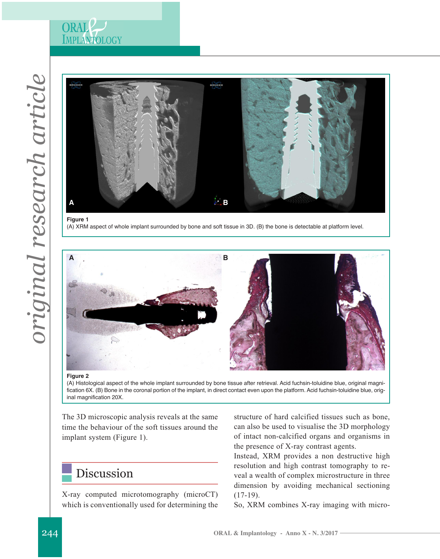



**Figure 1** (A) XRM aspect of whole implant surrounded by bone and soft tissue in 3D. (B) the bone is detectable at platform level.



#### **Figure 2**

(A) Histological aspect of the whole implant surrounded by bone tissue after retrieval. Acid fuchsin-toluidine blue, original magnification 6X. (B) Bone in the coronal portion of the implant, in direct contact even upon the platform. Acid fuchsin-toluidine blue, original magnification 20X.

The 3D microscopic analysis reveals at the same time the behaviour of the soft tissues around the implant system (Figure 1).

## Discussion

X-ray computed microtomography (microCT) which is conventionally used for determining the

structure of hard calcified tissues such as bone, can also be used to visualise the 3D morphology of intact non-calcified organs and organisms in the presence of X-ray contrast agents.

Instead, XRM provides a non destructive high resolution and high contrast tomography to reveal a wealth of complex microstructure in three dimension by avoiding mechanical sectioning  $(17-19)$ .

So, XRM combines X-ray imaging with micro-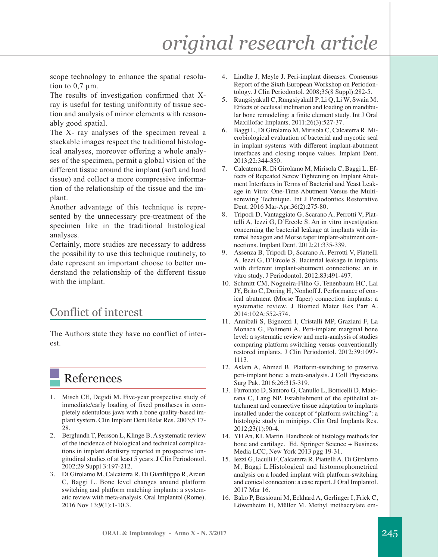scope technology to enhance the spatial resolution to  $0.7 \mu m$ .

The results of investigation confirmed that Xray is useful for testing uniformity of tissue section and analysis of minor elements with reasonably good spatial.

The X- ray analyses of the specimen reveal a stackable images respect the traditional histological analyses, moreover offering a whole analyses of the specimen, permit a global vision of the different tissue around the implant (soft and hard tissue) and collect a more compressive information of the relationship of the tissue and the implant.

Another advantage of this technique is represented by the unnecessary pre-treatment of the specimen like in the traditional histological analyses.

Certainly, more studies are necessary to address the possibility to use this technique routinely, to date represent an important choose to better understand the relationship of the different tissue with the implant.

### Conflict of interest

The Authors state they have no conflict of interest.

## References

- 1. Misch CE, Degidi M. Five-year prospective study of immediate/early loading of fixed prostheses in completely edentulous jaws with a bone quality-based implant system. Clin Implant Dent Relat Res. 2003;5:17- 28.
- 2. Berglundh T, Persson L, Klinge B. A systematic review of the incidence of biological and technical complications in implant dentistry reported in prospective longitudinal studies of at least 5 years. J Clin Periodontol. 2002;29 Suppl 3:197-212.
- 3. Di Girolamo M, Calcaterra R, Di Gianfilippo R, Arcuri C, Baggi L. Bone level changes around platform switching and platform matching implants: a systematic review with meta-analysis. Oral Implantol (Rome). 2016 Nov 13;9(1):1-10.3.
- 4. Lindhe J, Meyle J. Peri-implant diseases: Consensus Report of the Sixth European Workshop on Periodontology. J Clin Periodontol. 2008;35(8 Suppl):282-5.
- 5. Rungsiyakull C, Rungsiyakull P, Li Q, Li W, Swain M. Effects of occlusal inclination and loading on mandibular bone remodeling: a finite element study. Int J Oral Maxillofac Implants. 2011;26(3):527-37.
- 6. Baggi L, Di Girolamo M, Mirisola C, Calcaterra R. Microbiological evaluation of bacterial and mycotic seal in implant systems with different implant-abutment interfaces and closing torque values. Implant Dent. 2013;22:344-350.
- 7. Calcaterra R, Di Girolamo M, Mirisola C, Baggi L. Effects of Repeated Screw Tightening on Implant Abutment Interfaces in Terms of Bacterial and Yeast Leakage in Vitro: One-Time Abutment Versus the Multiscrewing Technique. Int J Periodontics Restorative Dent. 2016 Mar-Apr;36(2):275-80.
- 8. Tripodi D, Vantaggiato G, Scarano A, Perrotti V, Piattelli A, Iezzi G, D'Ercole S. An in vitro investigation concerning the bacterial leakage at implants with internal hexagon and Morse taper implant-abutment connections. Implant Dent. 2012;21:335-339.
- 9. Assenza B, Tripodi D, Scarano A, Perrotti V, Piattelli A, Iezzi G, D'Ercole S. Bacterial leakage in implants with different implant-abutment connections: an in vitro study. J Periodontol. 2012;83:491-497.
- 10. Schmitt CM, Nogueira-Filho G, Tenenbaum HC, Lai JY, Brito C, Doring H, Nonhoff J. Performance of conical abutment (Morse Taper) connection implants: a systematic review. J Biomed Mater Res Part A. 2014:102A:552-574.
- 11. Annibali S, Bignozzi I, Cristalli MP, Graziani F, La Monaca G, Polimeni A. Peri-implant marginal bone level: a systematic review and meta-analysis of studies comparing platform switching versus conventionally restored implants. J Clin Periodontol. 2012;39:1097- 1113.
- 12. Aslam A, Ahmed B. Platform-switching to preserve peri-implant bone: a meta-analysis. J Coll Physicians Surg Pak. 2016;26:315-319.
- 13. Farronato D, Santoro G, Canullo L, Botticelli D, Maiorana C, Lang NP. Establishment of the epithelial attachment and connective tissue adaptation to implants installed under the concept of "platform switching": a histologic study in minipigs. Clin Oral Implants Res. 2012;23(1):90-4.
- 14. YHAn, KL Martin. Handbook of histology methods for bone and cartilage. Ed. Springer Science + Business Media LCC, New York 2013 pgg 19-31.
- 15. Iezzi G, Iaculli F, Calcaterra R, Piattelli A, Di Girolamo M, Baggi L.Histological and histomorphometrical analysis on a loaded implant with platform-switching and conical connection: a case report. J Oral Implantol. 2017 Mar 16.
- 16. Bako P, Bassiouni M, Eckhard A, Gerlinger I, Frick C, Löwenheim H, Müller M. Methyl methacrylate em-